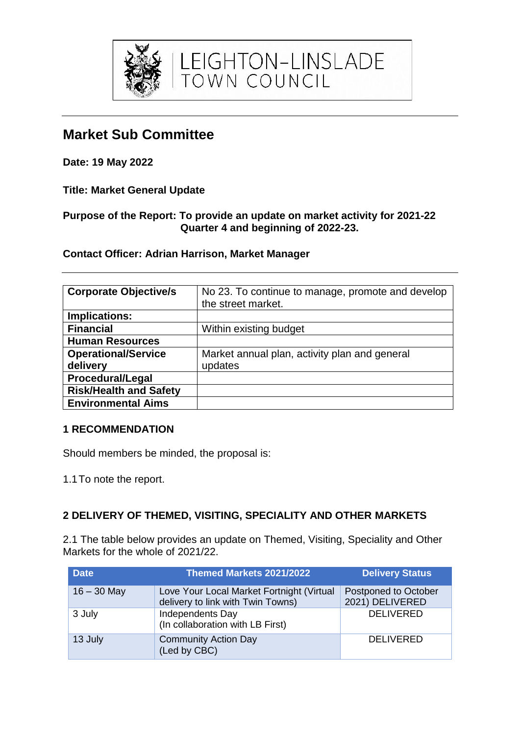

**Market Sub Committee**

**Date: 19 May 2022**

**Title: Market General Update** 

# **Purpose of the Report: To provide an update on market activity for 2021-22 Quarter 4 and beginning of 2022-23.**

EIGHTON-LINSLADE<br>TOWN COUNCIL

**Contact Officer: Adrian Harrison, Market Manager**

| <b>Corporate Objective/s</b>  | No 23. To continue to manage, promote and develop<br>the street market. |
|-------------------------------|-------------------------------------------------------------------------|
| Implications:                 |                                                                         |
| <b>Financial</b>              | Within existing budget                                                  |
| <b>Human Resources</b>        |                                                                         |
| <b>Operational/Service</b>    | Market annual plan, activity plan and general                           |
| delivery                      | updates                                                                 |
| <b>Procedural/Legal</b>       |                                                                         |
| <b>Risk/Health and Safety</b> |                                                                         |
| <b>Environmental Aims</b>     |                                                                         |

# **1 RECOMMENDATION**

Should members be minded, the proposal is:

1.1To note the report.

# **2 DELIVERY OF THEMED, VISITING, SPECIALITY AND OTHER MARKETS**

2.1 The table below provides an update on Themed, Visiting, Speciality and Other Markets for the whole of 2021/22.

| <b>Date</b>   | Themed Markets 2021/2022                                                       | <b>Delivery Status</b>                  |
|---------------|--------------------------------------------------------------------------------|-----------------------------------------|
| $16 - 30$ May | Love Your Local Market Fortnight (Virtual<br>delivery to link with Twin Towns) | Postponed to October<br>2021) DELIVERED |
| 3 July        | Independents Day<br>(In collaboration with LB First)                           | <b>DELIVERED</b>                        |
| 13 July       | <b>Community Action Day</b><br>(Led by CBC)                                    | <b>DELIVERED</b>                        |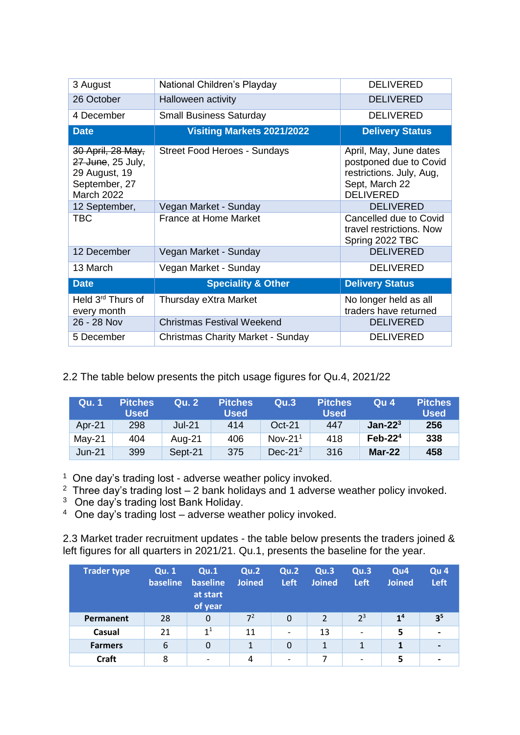| 3 August                                                                                      | National Children's Playday              | <b>DELIVERED</b>                                                                                                   |
|-----------------------------------------------------------------------------------------------|------------------------------------------|--------------------------------------------------------------------------------------------------------------------|
| 26 October                                                                                    | Halloween activity                       | <b>DELIVERED</b>                                                                                                   |
| 4 December                                                                                    | <b>Small Business Saturday</b>           | <b>DELIVERED</b>                                                                                                   |
| <b>Date</b>                                                                                   | <b>Visiting Markets 2021/2022</b>        | <b>Delivery Status</b>                                                                                             |
| 30 April, 28 May,<br>27 June, 25 July,<br>29 August, 19<br>September, 27<br><b>March 2022</b> | <b>Street Food Heroes - Sundays</b>      | April, May, June dates<br>postponed due to Covid<br>restrictions. July, Aug,<br>Sept, March 22<br><b>DELIVERED</b> |
| 12 September,                                                                                 | Vegan Market - Sunday                    | <b>DELIVERED</b>                                                                                                   |
| <b>TBC</b>                                                                                    | <b>France at Home Market</b>             | Cancelled due to Covid<br>travel restrictions. Now<br>Spring 2022 TBC                                              |
| 12 December                                                                                   | Vegan Market - Sunday                    | <b>DELIVERED</b>                                                                                                   |
| 13 March                                                                                      | Vegan Market - Sunday                    | <b>DELIVERED</b>                                                                                                   |
| <b>Date</b>                                                                                   | <b>Speciality &amp; Other</b>            | <b>Delivery Status</b>                                                                                             |
| Held 3 <sup>rd</sup> Thurs of<br>every month                                                  | Thursday eXtra Market                    | No longer held as all<br>traders have returned                                                                     |
| 26 - 28 Nov                                                                                   | <b>Christmas Festival Weekend</b>        | <b>DELIVERED</b>                                                                                                   |
| 5 December                                                                                    | <b>Christmas Charity Market - Sunday</b> | <b>DELIVERED</b>                                                                                                   |

2.2 The table below presents the pitch usage figures for Qu.4, 2021/22

| Qu. 1    | <b>Pitches</b><br><b>Used</b> | <b>Qu. 2</b> | <b>Pitches</b><br><b>Used</b> | Qu.3       | <b>Pitches</b><br><b>Used</b> | Qu <sub>4</sub> | <b>Pitches</b><br><b>Used</b> |
|----------|-------------------------------|--------------|-------------------------------|------------|-------------------------------|-----------------|-------------------------------|
| Apr-21   | 298                           | $Jul-21$     | 414                           | $Oct-21$   | 447                           | $Jan-223$       | 256                           |
| $May-21$ | 404                           | Aug-21       | 406                           | Nov- $211$ | 418                           | $Feb-224$       | 338                           |
| $Jun-21$ | 399                           | Sept-21      | 375                           | Dec- $212$ | 316                           | $Mar-22$        | 458                           |

<sup>1</sup> One day's trading lost - adverse weather policy invoked.

<sup>2</sup> Three day's trading lost  $-$  2 bank holidays and 1 adverse weather policy invoked.

<sup>3</sup> One day's trading lost Bank Holiday.

<sup>4</sup>One day's trading lost – adverse weather policy invoked.

2.3 Market trader recruitment updates - the table below presents the traders joined & left figures for all quarters in 2021/21. Qu.1, presents the baseline for the year.

| <b>Trader type</b> | <b>Qu. 1</b><br>baseline | Qu.1<br>baseline<br>at start<br>of year | Qu.2<br><b>Joined</b> | Qu.2<br>Left             | Qu.3<br><b>Joined</b> | Qu.3<br><b>Left</b>      | Qu <sub>4</sub><br><b>Joined</b> | Qu <sub>4</sub><br>Left |
|--------------------|--------------------------|-----------------------------------------|-----------------------|--------------------------|-----------------------|--------------------------|----------------------------------|-------------------------|
| Permanent          | 28                       | 0                                       | $7^2$                 | 0                        | $\mathcal{P}$         | $2^3$                    | 1 <sup>4</sup>                   | 3 <sup>5</sup>          |
| Casual             | 21                       | 1 <sup>1</sup>                          | 11                    | $\overline{\phantom{a}}$ | 13                    | $\overline{\phantom{0}}$ | 5                                |                         |
| <b>Farmers</b>     | 6                        | $\Omega$                                | $\mathbf{1}$          | 0                        | 1                     | $\mathbf{1}$             | 1                                | -                       |
| <b>Craft</b>       | 8                        | $\overline{\phantom{0}}$                | 4                     | $\overline{\phantom{a}}$ | 7                     | $\overline{\phantom{0}}$ | 5                                |                         |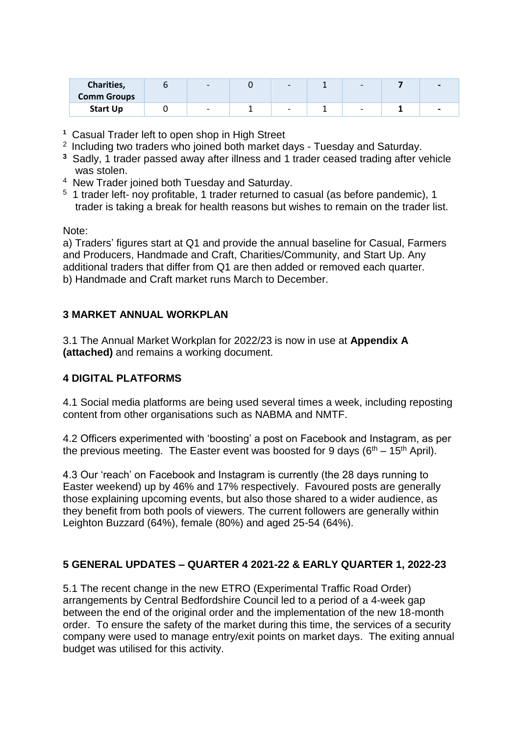| Charities,<br><b>Comm Groups</b> | $\overline{\phantom{0}}$ |   |   |                          |
|----------------------------------|--------------------------|---|---|--------------------------|
| <b>Start Up</b>                  | $\overline{\phantom{a}}$ | - | - | $\overline{\phantom{0}}$ |

**1** Casual Trader left to open shop in High Street

- <sup>2</sup> Including two traders who joined both market days Tuesday and Saturday.
- **<sup>3</sup>**Sadly, 1 trader passed away after illness and 1 trader ceased trading after vehicle was stolen.
- <sup>4</sup> New Trader joined both Tuesday and Saturday.
- <sup>5</sup> 1 trader left- noy profitable, 1 trader returned to casual (as before pandemic), 1 trader is taking a break for health reasons but wishes to remain on the trader list.

#### Note:

a) Traders' figures start at Q1 and provide the annual baseline for Casual, Farmers and Producers, Handmade and Craft, Charities/Community, and Start Up. Any additional traders that differ from Q1 are then added or removed each quarter. b) Handmade and Craft market runs March to December.

### **3 MARKET ANNUAL WORKPLAN**

3.1 The Annual Market Workplan for 2022/23 is now in use at **Appendix A (attached)** and remains a working document.

### **4 DIGITAL PLATFORMS**

4.1 Social media platforms are being used several times a week, including reposting content from other organisations such as NABMA and NMTF.

4.2 Officers experimented with 'boosting' a post on Facebook and Instagram, as per the previous meeting. The Easter event was boosted for 9 days ( $6<sup>th</sup> - 15<sup>th</sup>$  April).

4.3 Our 'reach' on Facebook and Instagram is currently (the 28 days running to Easter weekend) up by 46% and 17% respectively. Favoured posts are generally those explaining upcoming events, but also those shared to a wider audience, as they benefit from both pools of viewers. The current followers are generally within Leighton Buzzard (64%), female (80%) and aged 25-54 (64%).

### **5 GENERAL UPDATES – QUARTER 4 2021-22 & EARLY QUARTER 1, 2022-23**

5.1 The recent change in the new ETRO (Experimental Traffic Road Order) arrangements by Central Bedfordshire Council led to a period of a 4-week gap between the end of the original order and the implementation of the new 18-month order. To ensure the safety of the market during this time, the services of a security company were used to manage entry/exit points on market days. The exiting annual budget was utilised for this activity.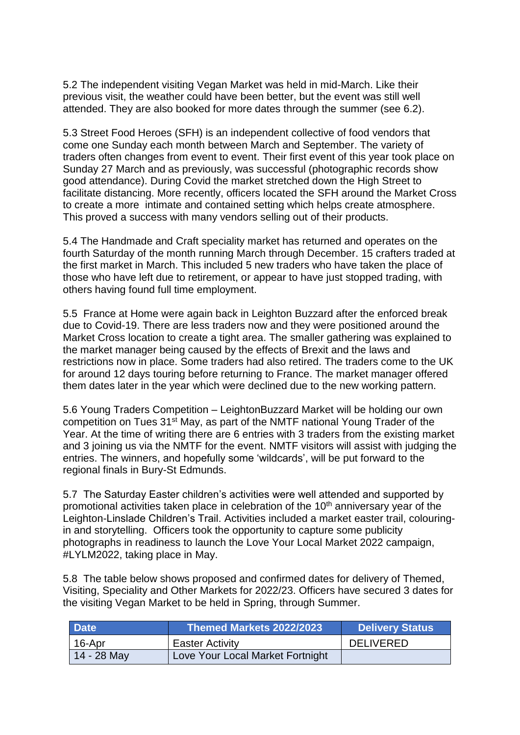5.2 The independent visiting Vegan Market was held in mid-March. Like their previous visit, the weather could have been better, but the event was still well attended. They are also booked for more dates through the summer (see 6.2).

5.3 Street Food Heroes (SFH) is an independent collective of food vendors that come one Sunday each month between March and September. The variety of traders often changes from event to event. Their first event of this year took place on Sunday 27 March and as previously, was successful (photographic records show good attendance). During Covid the market stretched down the High Street to facilitate distancing. More recently, officers located the SFH around the Market Cross to create a more intimate and contained setting which helps create atmosphere. This proved a success with many vendors selling out of their products.

5.4 The Handmade and Craft speciality market has returned and operates on the fourth Saturday of the month running March through December. 15 crafters traded at the first market in March. This included 5 new traders who have taken the place of those who have left due to retirement, or appear to have just stopped trading, with others having found full time employment.

5.5 France at Home were again back in Leighton Buzzard after the enforced break due to Covid-19. There are less traders now and they were positioned around the Market Cross location to create a tight area. The smaller gathering was explained to the market manager being caused by the effects of Brexit and the laws and restrictions now in place. Some traders had also retired. The traders come to the UK for around 12 days touring before returning to France. The market manager offered them dates later in the year which were declined due to the new working pattern.

5.6 Young Traders Competition – LeightonBuzzard Market will be holding our own competition on Tues 31<sup>st</sup> May, as part of the NMTF national Young Trader of the Year. At the time of writing there are 6 entries with 3 traders from the existing market and 3 joining us via the NMTF for the event. NMTF visitors will assist with judging the entries. The winners, and hopefully some 'wildcards', will be put forward to the regional finals in Bury-St Edmunds.

5.7 The Saturday Easter children's activities were well attended and supported by promotional activities taken place in celebration of the 10<sup>th</sup> anniversary year of the Leighton-Linslade Children's Trail. Activities included a market easter trail, colouringin and storytelling. Officers took the opportunity to capture some publicity photographs in readiness to launch the Love Your Local Market 2022 campaign, #LYLM2022, taking place in May.

5.8 The table below shows proposed and confirmed dates for delivery of Themed, Visiting, Speciality and Other Markets for 2022/23. Officers have secured 3 dates for the visiting Vegan Market to be held in Spring, through Summer.

| <b>Date</b> | Themed Markets 2022/2023         | <b>Delivery Status</b> |
|-------------|----------------------------------|------------------------|
| 16-Apr      | <b>Easter Activity</b>           | <b>DELIVERED</b>       |
| 14 - 28 May | Love Your Local Market Fortnight |                        |